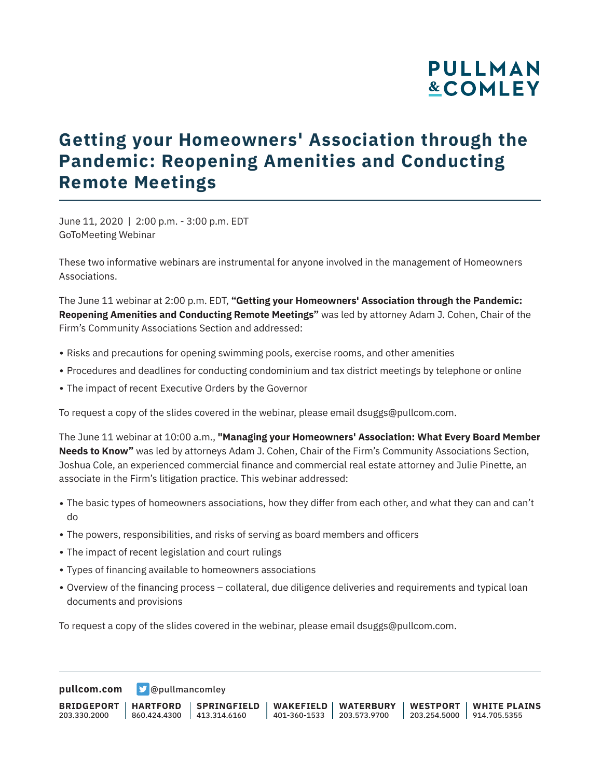# **PULLMAN &COMLEY**

# **Getting your Homeowners' Association through the Pandemic: Reopening Amenities and Conducting Remote Meetings**

June 11, 2020 | 2:00 p.m. - 3:00 p.m. EDT GoToMeeting Webinar

These two informative webinars are instrumental for anyone involved in the management of Homeowners Associations.

The June 11 webinar at 2:00 p.m. EDT, **"Getting your Homeowners' Association through the Pandemic: Reopening Amenities and Conducting Remote Meetings"** was led by attorney Adam J. Cohen, Chair of the Firm's Community Associations Section and addressed:

- Risks and precautions for opening swimming pools, exercise rooms, and other amenities
- Procedures and deadlines for conducting condominium and tax district meetings by telephone or online
- The impact of recent Executive Orders by the Governor

To request a copy of the slides covered in the webinar, please email dsuggs@pullcom.com.

The June 11 webinar at 10:00 a.m., **"Managing your Homeowners' Association: What Every Board Member Needs to Know"** was led by attorneys Adam J. Cohen, Chair of the Firm's Community Associations Section, Joshua Cole, an experienced commercial finance and commercial real estate attorney and Julie Pinette, an associate in the Firm's litigation practice. This webinar addressed:

- The basic types of homeowners associations, how they differ from each other, and what they can and can't do
- The powers, responsibilities, and risks of serving as board members and officers
- The impact of recent legislation and court rulings
- Types of financing available to homeowners associations
- Overview of the financing process collateral, due diligence deliveries and requirements and typical loan documents and provisions

To request a copy of the slides covered in the webinar, please email dsuggs@pullcom.com.

**[pullcom.com](https://www.pullcom.com)** [@pullmancomley](https://twitter.com/PullmanComley)

**BRIDGEPORT** 203.330.2000 **HARTFORD** 860.424.4300 413.314.6160 **SPRINGFIELD WAKEFIELD WATERBURY** 401-360-1533 203.573.9700 **WESTPORT WHITE PLAINS** 203.254.5000 914.705.5355